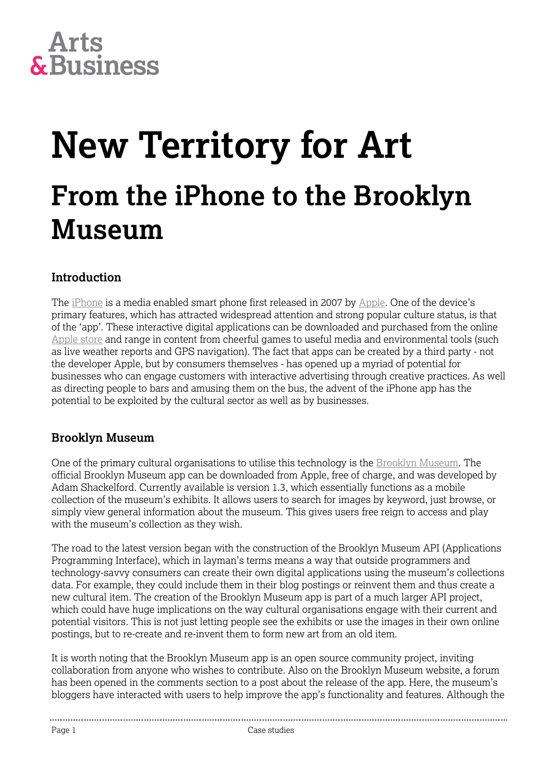# **Arts<br>&Business**

### **New Territory for Art From the iPhone to the Brooklyn Museum**

#### **Introduction**

The [iPhone](http://www.apple.com/iphone/) is a media enabled smart phone first released in 2007 by [Apple](http://www.apple.com/). One of the device's primary features, which has attracted widespread attention and strong popular culture status, is that of the 'app'. These interactive digital applications can be downloaded and purchased from the online [Apple store](http://store.apple.com/us) and range in content from cheerful games to useful media and environmental tools (such as live weather reports and GPS navigation). The fact that apps can be created by a third party - not the developer Apple, but by consumers themselves - has opened up a myriad of potential for businesses who can engage customers with interactive advertising through creative practices. As well as directing people to bars and amusing them on the bus, the advent of the iPhone app has the potential to be exploited by the cultural sector as well as by businesses.

#### **Brooklyn Museum**

One of the primary cultural organisations to utilise this technology is the [Brooklyn Museum.](http://www.brooklynmuseum.org/) The official Brooklyn Museum app can be downloaded from Apple, free of charge, and was developed by Adam Shackelford. Currently available is version 1.3, which essentially functions as a mobile collection of the museum's exhibits. It allows users to search for images by keyword, just browse, or simply view general information about the museum. This gives users free reign to access and play with the museum's collection as they wish.

The road to the latest version began with the construction of the Brooklyn Museum API (Applications Programming Interface), which in layman's terms means a way that outside programmers and technology-savvy consumers can create their own digital applications using the museum's collections data. For example, they could include them in their blog postings or reinvent them and thus create a new cultural item. The creation of the Brooklyn Museum app is part of a much larger API project, which could have huge implications on the way cultural organisations engage with their current and potential visitors. This is not just letting people see the exhibits or use the images in their own online postings, but to re-create and re-invent them to form new art from an old item.

It is worth noting that the Brooklyn Museum app is an open source community project, inviting collaboration from anyone who wishes to contribute. Also on the Brooklyn Museum website, a forum has been opened in the comments section to a post about the release of the app. Here, the museum's bloggers have interacted with users to help improve the app's functionality and features. Although the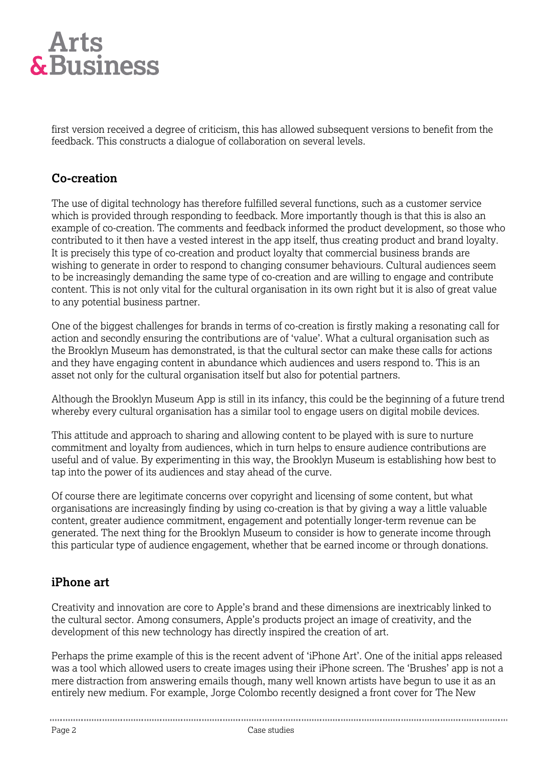

first version received a degree of criticism, this has allowed subsequent versions to benefit from the feedback. This constructs a dialogue of collaboration on several levels.

#### **Co-creation**

The use of digital technology has therefore fulfilled several functions, such as a customer service which is provided through responding to feedback. More importantly though is that this is also an example of co-creation. The comments and feedback informed the product development, so those who contributed to it then have a vested interest in the app itself, thus creating product and brand loyalty. It is precisely this type of co-creation and product loyalty that commercial business brands are wishing to generate in order to respond to changing consumer behaviours. Cultural audiences seem to be increasingly demanding the same type of co-creation and are willing to engage and contribute content. This is not only vital for the cultural organisation in its own right but it is also of great value to any potential business partner.

One of the biggest challenges for brands in terms of co-creation is firstly making a resonating call for action and secondly ensuring the contributions are of 'value'. What a cultural organisation such as the Brooklyn Museum has demonstrated, is that the cultural sector can make these calls for actions and they have engaging content in abundance which audiences and users respond to. This is an asset not only for the cultural organisation itself but also for potential partners.

Although the Brooklyn Museum App is still in its infancy, this could be the beginning of a future trend whereby every cultural organisation has a similar tool to engage users on digital mobile devices.

This attitude and approach to sharing and allowing content to be played with is sure to nurture commitment and loyalty from audiences, which in turn helps to ensure audience contributions are useful and of value. By experimenting in this way, the Brooklyn Museum is establishing how best to tap into the power of its audiences and stay ahead of the curve.

Of course there are legitimate concerns over copyright and licensing of some content, but what organisations are increasingly finding by using co-creation is that by giving a way a little valuable content, greater audience commitment, engagement and potentially longer-term revenue can be generated. The next thing for the Brooklyn Museum to consider is how to generate income through this particular type of audience engagement, whether that be earned income or through donations.

#### **iPhone art**

Creativity and innovation are core to Apple's brand and these dimensions are inextricably linked to the cultural sector. Among consumers, Apple's products project an image of creativity, and the development of this new technology has directly inspired the creation of art.

Perhaps the prime example of this is the recent advent of 'iPhone Art'. One of the initial apps released was a tool which allowed users to create images using their iPhone screen. The 'Brushes' app is not a mere distraction from answering emails though, many well known artists have begun to use it as an entirely new medium. For example, Jorge Colombo recently designed a front cover for The New